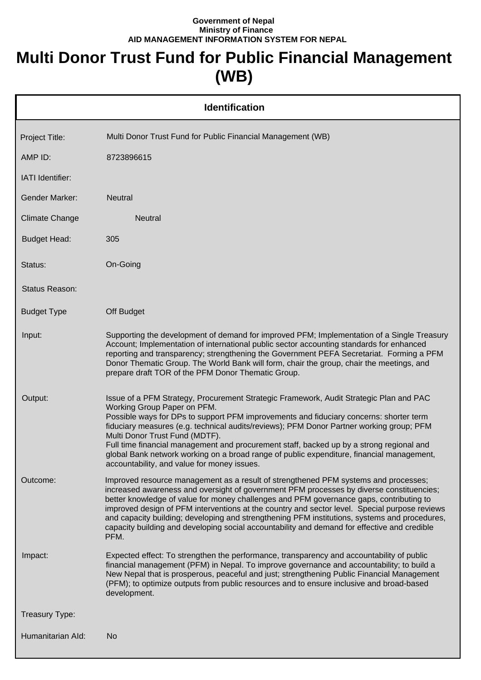## **Government of Nepal Ministry of Finance AID MANAGEMENT INFORMATION SYSTEM FOR NEPAL**

## **Multi Donor Trust Fund for Public Financial Management (WB)**

| <b>Identification</b> |                                                                                                                                                                                                                                                                                                                                                                                                                                                                                                                                                                                       |  |  |
|-----------------------|---------------------------------------------------------------------------------------------------------------------------------------------------------------------------------------------------------------------------------------------------------------------------------------------------------------------------------------------------------------------------------------------------------------------------------------------------------------------------------------------------------------------------------------------------------------------------------------|--|--|
| Project Title:        | Multi Donor Trust Fund for Public Financial Management (WB)                                                                                                                                                                                                                                                                                                                                                                                                                                                                                                                           |  |  |
| AMP ID:               | 8723896615                                                                                                                                                                                                                                                                                                                                                                                                                                                                                                                                                                            |  |  |
| IATI Identifier:      |                                                                                                                                                                                                                                                                                                                                                                                                                                                                                                                                                                                       |  |  |
| Gender Marker:        | <b>Neutral</b>                                                                                                                                                                                                                                                                                                                                                                                                                                                                                                                                                                        |  |  |
| <b>Climate Change</b> | <b>Neutral</b>                                                                                                                                                                                                                                                                                                                                                                                                                                                                                                                                                                        |  |  |
| <b>Budget Head:</b>   | 305                                                                                                                                                                                                                                                                                                                                                                                                                                                                                                                                                                                   |  |  |
| Status:               | On-Going                                                                                                                                                                                                                                                                                                                                                                                                                                                                                                                                                                              |  |  |
| Status Reason:        |                                                                                                                                                                                                                                                                                                                                                                                                                                                                                                                                                                                       |  |  |
| <b>Budget Type</b>    | Off Budget                                                                                                                                                                                                                                                                                                                                                                                                                                                                                                                                                                            |  |  |
| Input:                | Supporting the development of demand for improved PFM; Implementation of a Single Treasury<br>Account; Implementation of international public sector accounting standards for enhanced<br>reporting and transparency; strengthening the Government PEFA Secretariat. Forming a PFM<br>Donor Thematic Group. The World Bank will form, chair the group, chair the meetings, and<br>prepare draft TOR of the PFM Donor Thematic Group.                                                                                                                                                  |  |  |
| Output:               | Issue of a PFM Strategy, Procurement Strategic Framework, Audit Strategic Plan and PAC<br>Working Group Paper on PFM.<br>Possible ways for DPs to support PFM improvements and fiduciary concerns: shorter term<br>fiduciary measures (e.g. technical audits/reviews); PFM Donor Partner working group; PFM<br>Multi Donor Trust Fund (MDTF).<br>Full time financial management and procurement staff, backed up by a strong regional and<br>global Bank network working on a broad range of public expenditure, financial management,<br>accountability, and value for money issues. |  |  |
| Outcome:              | Improved resource management as a result of strengthened PFM systems and processes;<br>increased awareness and oversight of government PFM processes by diverse constituencies;<br>better knowledge of value for money challenges and PFM governance gaps, contributing to<br>improved design of PFM interventions at the country and sector level. Special purpose reviews<br>and capacity building; developing and strengthening PFM institutions, systems and procedures,<br>capacity building and developing social accountability and demand for effective and credible<br>PFM.  |  |  |
| Impact:               | Expected effect: To strengthen the performance, transparency and accountability of public<br>financial management (PFM) in Nepal. To improve governance and accountability; to build a<br>New Nepal that is prosperous, peaceful and just; strengthening Public Financial Management<br>(PFM); to optimize outputs from public resources and to ensure inclusive and broad-based<br>development.                                                                                                                                                                                      |  |  |
| Treasury Type:        |                                                                                                                                                                                                                                                                                                                                                                                                                                                                                                                                                                                       |  |  |
| Humanitarian Ald:     | No                                                                                                                                                                                                                                                                                                                                                                                                                                                                                                                                                                                    |  |  |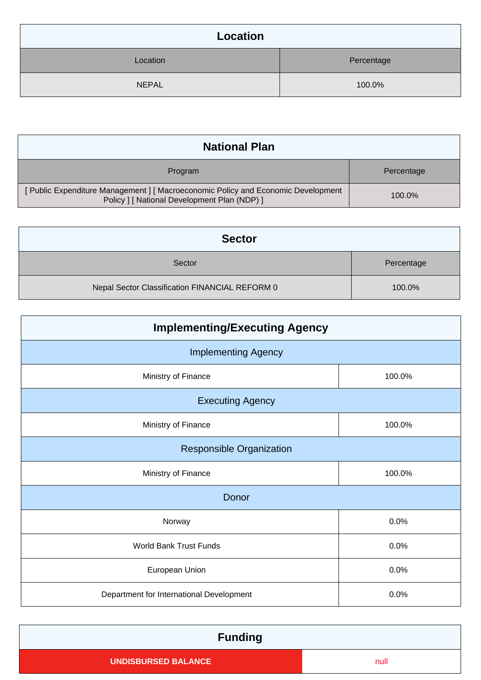| Location     |            |  |  |
|--------------|------------|--|--|
| Location     | Percentage |  |  |
| <b>NEPAL</b> | 100.0%     |  |  |

| <b>National Plan</b>                                                                                                              |            |  |  |
|-----------------------------------------------------------------------------------------------------------------------------------|------------|--|--|
| Program                                                                                                                           | Percentage |  |  |
| [ Public Expenditure Management ] [ Macroeconomic Policy and Economic Development<br>Policy   [ National Development Plan (NDP) ] | 100.0%     |  |  |

| <b>Sector</b>                                  |            |  |  |
|------------------------------------------------|------------|--|--|
| Sector                                         | Percentage |  |  |
| Nepal Sector Classification FINANCIAL REFORM 0 | 100.0%     |  |  |

| <b>Implementing/Executing Agency</b>     |        |  |  |  |
|------------------------------------------|--------|--|--|--|
| <b>Implementing Agency</b>               |        |  |  |  |
| Ministry of Finance                      | 100.0% |  |  |  |
| <b>Executing Agency</b>                  |        |  |  |  |
| Ministry of Finance                      | 100.0% |  |  |  |
| <b>Responsible Organization</b>          |        |  |  |  |
| Ministry of Finance                      | 100.0% |  |  |  |
| Donor                                    |        |  |  |  |
| Norway                                   | 0.0%   |  |  |  |
| <b>World Bank Trust Funds</b>            | 0.0%   |  |  |  |
| European Union                           | 0.0%   |  |  |  |
| Department for International Development | 0.0%   |  |  |  |

| <b>Funding</b>             |      |
|----------------------------|------|
| <b>UNDISBURSED BALANCE</b> | null |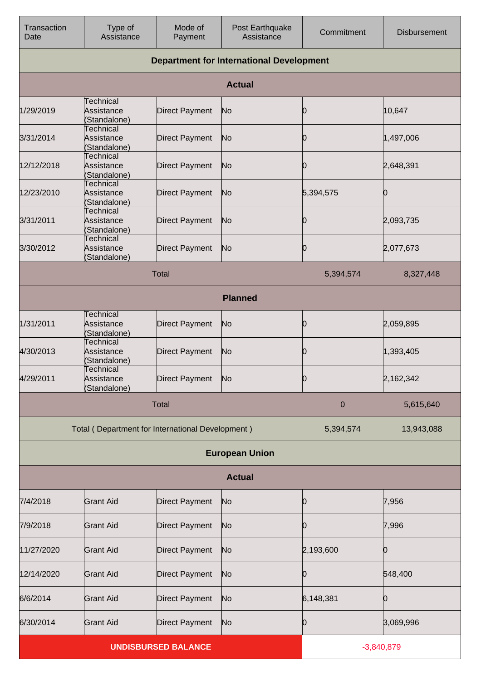| Transaction<br>Date                             | Type of<br>Assistance                            | Mode of<br>Payment    | Post Earthquake<br>Assistance | Commitment   | <b>Disbursement</b> |
|-------------------------------------------------|--------------------------------------------------|-----------------------|-------------------------------|--------------|---------------------|
| <b>Department for International Development</b> |                                                  |                       |                               |              |                     |
|                                                 |                                                  |                       | <b>Actual</b>                 |              |                     |
| 1/29/2019                                       | <b>Technical</b><br>Assistance<br>(Standalone)   | <b>Direct Payment</b> | No                            | Ю            | 10,647              |
| 3/31/2014                                       | <b>Technical</b><br>Assistance<br>(Standalone)   | <b>Direct Payment</b> | No                            | 10           | 1,497,006           |
| 12/12/2018                                      | Technical<br>Assistance<br>(Standalone)          | <b>Direct Payment</b> | No                            | Ю            | 2,648,391           |
| 12/23/2010                                      | <b>Technical</b><br>Assistance<br>(Standalone)   | <b>Direct Payment</b> | No                            | 5,394,575    | Ю                   |
| 3/31/2011                                       | <b>Technical</b><br>Assistance<br>(Standalone)   | <b>Direct Payment</b> | No                            | Ю            | 2,093,735           |
| 3/30/2012                                       | <b>Technical</b><br>Assistance<br>(Standalone)   | <b>Direct Payment</b> | No                            | Ю            | 2,077,673           |
| <b>Total</b><br>5,394,574<br>8,327,448          |                                                  |                       |                               |              |                     |
|                                                 |                                                  |                       | <b>Planned</b>                |              |                     |
| 1/31/2011                                       | <b>Technical</b><br>Assistance<br>(Standalone)   | <b>Direct Payment</b> | No                            | Ю            | 2,059,895           |
| 4/30/2013                                       | <b>Technical</b><br>Assistance<br>(Standalone)   | <b>Direct Payment</b> | No                            | 10           | 1,393,405           |
| 4/29/2011                                       | <b>Technical</b><br>Assistance<br>(Standalone)   | <b>Direct Payment</b> | INO.                          | O            | 2,162,342           |
|                                                 |                                                  | <b>Total</b>          |                               | 0            | 5,615,640           |
|                                                 | Total (Department for International Development) |                       |                               | 5,394,574    | 13,943,088          |
|                                                 |                                                  |                       | <b>European Union</b>         |              |                     |
|                                                 |                                                  |                       | <b>Actual</b>                 |              |                     |
| 7/4/2018                                        | <b>Grant Aid</b>                                 | <b>Direct Payment</b> | No                            | Ю            | 7,956               |
| 7/9/2018                                        | <b>Grant Aid</b>                                 | <b>Direct Payment</b> | No                            | Ю            | 7,996               |
| 11/27/2020                                      | <b>Grant Aid</b>                                 | <b>Direct Payment</b> | No                            | 2,193,600    | 0                   |
| 12/14/2020                                      | <b>Grant Aid</b>                                 | <b>Direct Payment</b> | No                            | Ю            | 548,400             |
| 6/6/2014                                        | <b>Grant Aid</b>                                 | <b>Direct Payment</b> | No                            | 6,148,381    | 0                   |
| 6/30/2014                                       | <b>Grant Aid</b>                                 | <b>Direct Payment</b> | No                            | Ю            | 3,069,996           |
| <b>UNDISBURSED BALANCE</b>                      |                                                  |                       |                               | $-3,840,879$ |                     |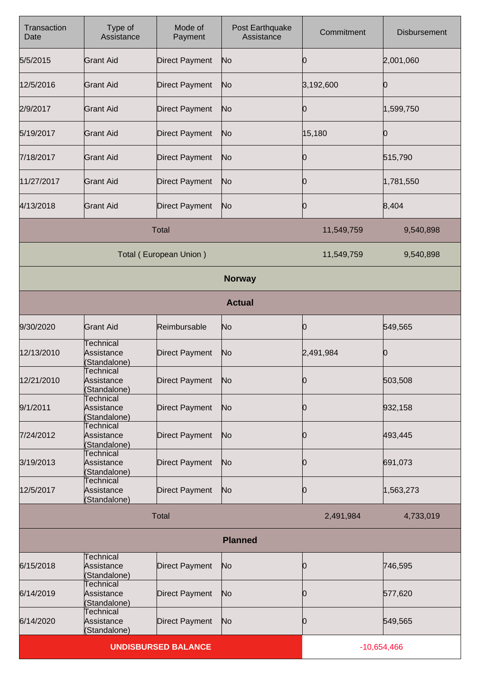| Transaction<br>Date        | Type of<br>Assistance                          | Mode of<br>Payment     | Post Earthquake<br>Assistance | Commitment | <b>Disbursement</b> |
|----------------------------|------------------------------------------------|------------------------|-------------------------------|------------|---------------------|
| 5/5/2015                   | <b>Grant Aid</b>                               | <b>Direct Payment</b>  | No                            | O          | 2,001,060           |
| 12/5/2016                  | <b>Grant Aid</b>                               | <b>Direct Payment</b>  | No                            | 3,192,600  | Ю                   |
| 2/9/2017                   | <b>Grant Aid</b>                               | <b>Direct Payment</b>  | No                            | O          | 1,599,750           |
| 5/19/2017                  | <b>Grant Aid</b>                               | <b>Direct Payment</b>  | No                            | 15,180     | Ю                   |
| 7/18/2017                  | <b>Grant Aid</b>                               | <b>Direct Payment</b>  | No                            | 0          | 515,790             |
| 11/27/2017                 | <b>Grant Aid</b>                               | <b>Direct Payment</b>  | No                            | Ŋ          | 1,781,550           |
| 4/13/2018                  | <b>Grant Aid</b>                               | <b>Direct Payment</b>  | No                            | O          | 8,404               |
|                            |                                                | <b>Total</b>           |                               | 11,549,759 | 9,540,898           |
|                            |                                                | Total (European Union) |                               | 11,549,759 | 9,540,898           |
|                            |                                                |                        | <b>Norway</b>                 |            |                     |
|                            |                                                |                        | <b>Actual</b>                 |            |                     |
| 9/30/2020                  | <b>Grant Aid</b>                               | Reimbursable           | No                            | 10         | 549,565             |
| 12/13/2010                 | <b>Technical</b><br>Assistance<br>(Standalone) | <b>Direct Payment</b>  | No                            | 2,491,984  | 0                   |
| 12/21/2010                 | <b>Technical</b><br>Assistance<br>(Standalone) | <b>Direct Payment</b>  | No                            | 10         | 503,508             |
| 9/1/2011                   | Technical<br>Assistance<br>(Standalone)        | <b>Direct Payment</b>  | N <sub>o</sub>                | Ю          | 932,158             |
| 7/24/2012                  | Technical<br>Assistance<br>(Standalone)        | <b>Direct Payment</b>  | N <sub>o</sub>                | 0          | 493,445             |
| 3/19/2013                  | Technical<br>Assistance<br>(Standalone)        | <b>Direct Payment</b>  | N <sub>o</sub>                | O          | 691,073             |
| 12/5/2017                  | Technical<br>Assistance<br>(Standalone)        | <b>Direct Payment</b>  | N <sub>o</sub>                | Ю          | 1,563,273           |
|                            |                                                | <b>Total</b>           |                               | 2,491,984  | 4,733,019           |
|                            | <b>Planned</b>                                 |                        |                               |            |                     |
| 6/15/2018                  | <b>Technical</b><br>Assistance<br>(Standalone) | <b>Direct Payment</b>  | N <sub>o</sub>                | 0          | 746,595             |
| 6/14/2019                  | Technical<br>Assistance<br>(Standalone)        | <b>Direct Payment</b>  | N <sub>o</sub>                | Ю          | 577,620             |
| 6/14/2020                  | <b>Technical</b><br>Assistance<br>(Standalone) | <b>Direct Payment</b>  | N <sub>o</sub>                | Ю          | 549,565             |
| <b>UNDISBURSED BALANCE</b> |                                                |                        | $-10,654,466$                 |            |                     |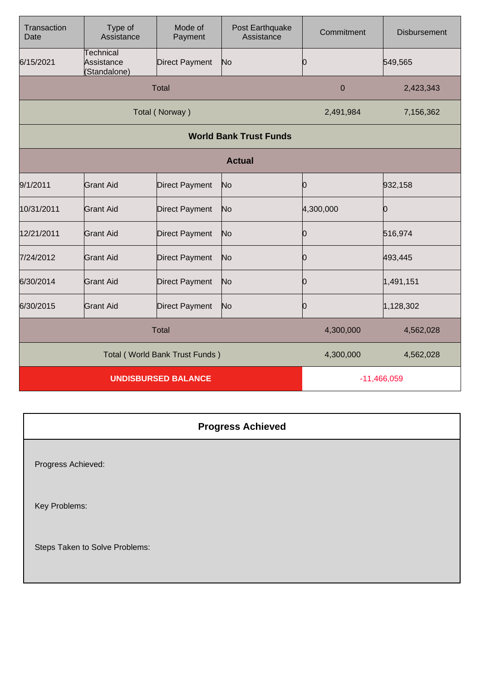| Transaction<br>Date            | Type of<br>Assistance                   | Mode of<br>Payment    | Post Earthquake<br>Assistance | Commitment  | <b>Disbursement</b> |
|--------------------------------|-----------------------------------------|-----------------------|-------------------------------|-------------|---------------------|
| 6/15/2021                      | Technical<br>Assistance<br>(Standalone) | <b>Direct Payment</b> | No                            |             | 549,565             |
|                                |                                         | <b>Total</b>          |                               | $\mathbf 0$ | 2,423,343           |
|                                |                                         | Total (Norway)        |                               | 2,491,984   | 7,156,362           |
|                                |                                         |                       | <b>World Bank Trust Funds</b> |             |                     |
|                                |                                         |                       | <b>Actual</b>                 |             |                     |
| 9/1/2011                       | <b>Grant Aid</b>                        | <b>Direct Payment</b> | No                            | Ю           | 932,158             |
| 10/31/2011                     | <b>Grant Aid</b>                        | <b>Direct Payment</b> | No                            | 4,300,000   | Ю                   |
| 12/21/2011                     | <b>Grant Aid</b>                        | <b>Direct Payment</b> | No                            | Ю           | 516,974             |
| 7/24/2012                      | <b>Grant Aid</b>                        | <b>Direct Payment</b> | No                            | Ŋ           | 493,445             |
| 6/30/2014                      | <b>Grant Aid</b>                        | <b>Direct Payment</b> | No                            | Ю           | 1,491,151           |
| 6/30/2015                      | <b>Grant Aid</b>                        | <b>Direct Payment</b> | No                            | n           | 1,128,302           |
| <b>Total</b>                   |                                         |                       | 4,300,000                     | 4,562,028   |                     |
| Total (World Bank Trust Funds) |                                         |                       | 4,300,000                     | 4,562,028   |                     |
| <b>UNDISBURSED BALANCE</b>     |                                         |                       | $-11,466,059$                 |             |                     |

| <b>Progress Achieved</b>       |
|--------------------------------|
| Progress Achieved:             |
| Key Problems:                  |
| Steps Taken to Solve Problems: |